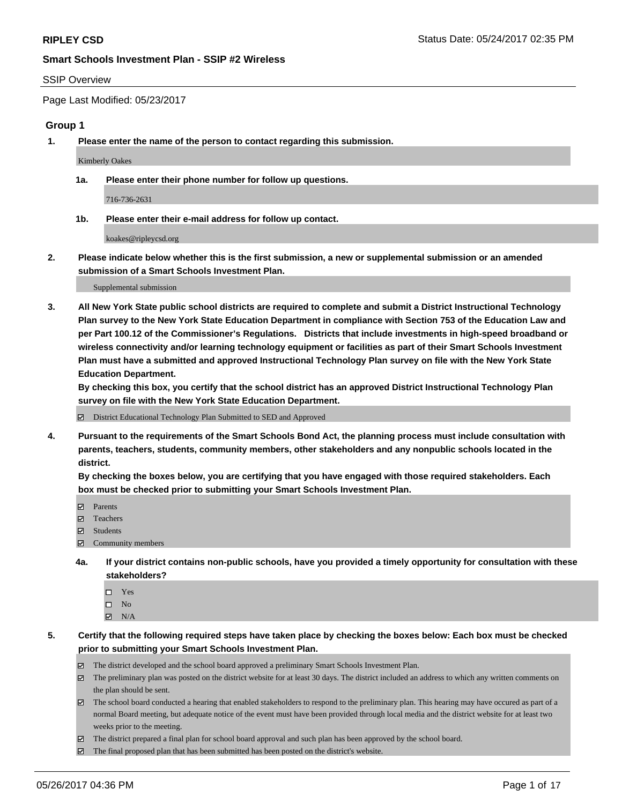#### SSIP Overview

Page Last Modified: 05/23/2017

# **Group 1**

**1. Please enter the name of the person to contact regarding this submission.**

Kimberly Oakes

**1a. Please enter their phone number for follow up questions.**

716-736-2631

**1b. Please enter their e-mail address for follow up contact.**

koakes@ripleycsd.org

**2. Please indicate below whether this is the first submission, a new or supplemental submission or an amended submission of a Smart Schools Investment Plan.**

Supplemental submission

**3. All New York State public school districts are required to complete and submit a District Instructional Technology Plan survey to the New York State Education Department in compliance with Section 753 of the Education Law and per Part 100.12 of the Commissioner's Regulations. Districts that include investments in high-speed broadband or wireless connectivity and/or learning technology equipment or facilities as part of their Smart Schools Investment Plan must have a submitted and approved Instructional Technology Plan survey on file with the New York State Education Department.** 

**By checking this box, you certify that the school district has an approved District Instructional Technology Plan survey on file with the New York State Education Department.**

District Educational Technology Plan Submitted to SED and Approved

**4. Pursuant to the requirements of the Smart Schools Bond Act, the planning process must include consultation with parents, teachers, students, community members, other stakeholders and any nonpublic schools located in the district.** 

**By checking the boxes below, you are certifying that you have engaged with those required stakeholders. Each box must be checked prior to submitting your Smart Schools Investment Plan.**

- **マ** Parents
- □ Teachers
- Students
- $\Xi$  Community members
- **4a. If your district contains non-public schools, have you provided a timely opportunity for consultation with these stakeholders?**
	- Yes
	- $\hfill \square$  No
	- $\boxtimes$  N/A
- **5. Certify that the following required steps have taken place by checking the boxes below: Each box must be checked prior to submitting your Smart Schools Investment Plan.**
	- The district developed and the school board approved a preliminary Smart Schools Investment Plan.
	- $\boxtimes$  The preliminary plan was posted on the district website for at least 30 days. The district included an address to which any written comments on the plan should be sent.
	- $\boxtimes$  The school board conducted a hearing that enabled stakeholders to respond to the preliminary plan. This hearing may have occured as part of a normal Board meeting, but adequate notice of the event must have been provided through local media and the district website for at least two weeks prior to the meeting.
	- The district prepared a final plan for school board approval and such plan has been approved by the school board.
	- $\boxtimes$  The final proposed plan that has been submitted has been posted on the district's website.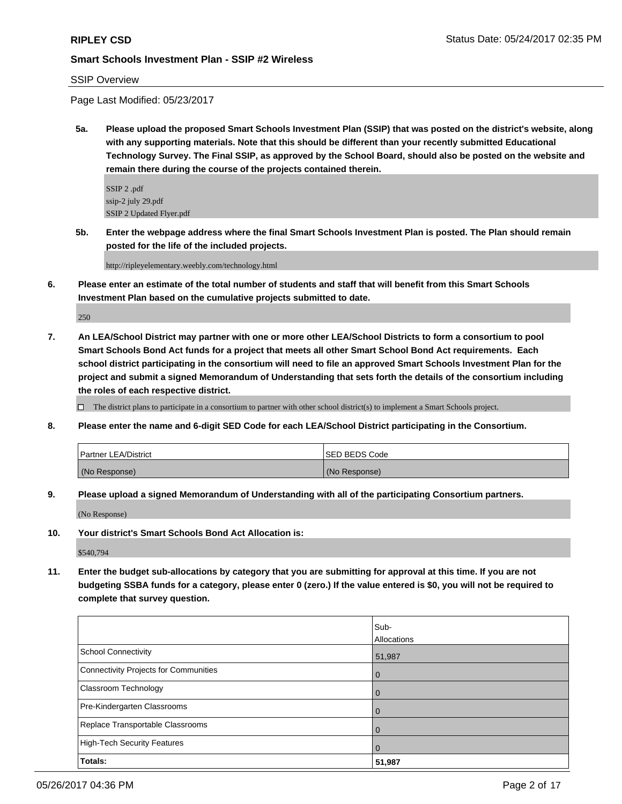# SSIP Overview

Page Last Modified: 05/23/2017

**5a. Please upload the proposed Smart Schools Investment Plan (SSIP) that was posted on the district's website, along with any supporting materials. Note that this should be different than your recently submitted Educational Technology Survey. The Final SSIP, as approved by the School Board, should also be posted on the website and remain there during the course of the projects contained therein.**

SSIP 2 .pdf ssip-2 july 29.pdf SSIP 2 Updated Flyer.pdf

**5b. Enter the webpage address where the final Smart Schools Investment Plan is posted. The Plan should remain posted for the life of the included projects.**

http://ripleyelementary.weebly.com/technology.html

**6. Please enter an estimate of the total number of students and staff that will benefit from this Smart Schools Investment Plan based on the cumulative projects submitted to date.**

250

**7. An LEA/School District may partner with one or more other LEA/School Districts to form a consortium to pool Smart Schools Bond Act funds for a project that meets all other Smart School Bond Act requirements. Each school district participating in the consortium will need to file an approved Smart Schools Investment Plan for the project and submit a signed Memorandum of Understanding that sets forth the details of the consortium including the roles of each respective district.**

 $\Box$  The district plans to participate in a consortium to partner with other school district(s) to implement a Smart Schools project.

**8. Please enter the name and 6-digit SED Code for each LEA/School District participating in the Consortium.**

| <b>Partner LEA/District</b> | ISED BEDS Code |
|-----------------------------|----------------|
| (No Response)               | (No Response)  |

**9. Please upload a signed Memorandum of Understanding with all of the participating Consortium partners.**

(No Response)

**10. Your district's Smart Schools Bond Act Allocation is:**

\$540,794

**11. Enter the budget sub-allocations by category that you are submitting for approval at this time. If you are not budgeting SSBA funds for a category, please enter 0 (zero.) If the value entered is \$0, you will not be required to complete that survey question.**

|                                              | Sub-        |
|----------------------------------------------|-------------|
|                                              | Allocations |
| <b>School Connectivity</b>                   | 51,987      |
| <b>Connectivity Projects for Communities</b> | $\Omega$    |
| Classroom Technology                         |             |
| Pre-Kindergarten Classrooms                  | $\Omega$    |
| Replace Transportable Classrooms             |             |
| <b>High-Tech Security Features</b>           | O           |
| Totals:                                      | 51,987      |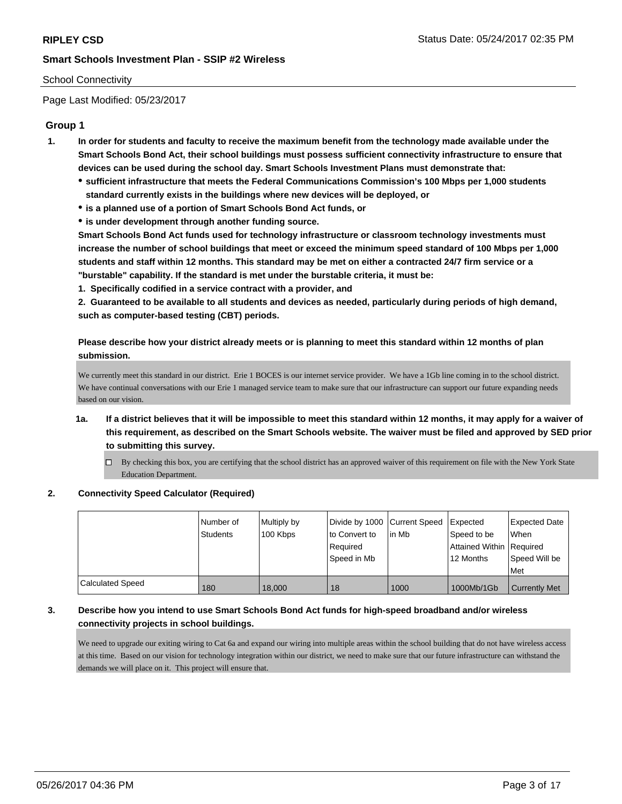## School Connectivity

Page Last Modified: 05/23/2017

# **Group 1**

- **1. In order for students and faculty to receive the maximum benefit from the technology made available under the Smart Schools Bond Act, their school buildings must possess sufficient connectivity infrastructure to ensure that devices can be used during the school day. Smart Schools Investment Plans must demonstrate that:**
	- **sufficient infrastructure that meets the Federal Communications Commission's 100 Mbps per 1,000 students standard currently exists in the buildings where new devices will be deployed, or**
	- **is a planned use of a portion of Smart Schools Bond Act funds, or**
	- **is under development through another funding source.**

**Smart Schools Bond Act funds used for technology infrastructure or classroom technology investments must increase the number of school buildings that meet or exceed the minimum speed standard of 100 Mbps per 1,000 students and staff within 12 months. This standard may be met on either a contracted 24/7 firm service or a "burstable" capability. If the standard is met under the burstable criteria, it must be:**

**1. Specifically codified in a service contract with a provider, and**

**2. Guaranteed to be available to all students and devices as needed, particularly during periods of high demand, such as computer-based testing (CBT) periods.**

**Please describe how your district already meets or is planning to meet this standard within 12 months of plan submission.**

We currently meet this standard in our district. Erie 1 BOCES is our internet service provider. We have a 1Gb line coming in to the school district. We have continual conversations with our Erie 1 managed service team to make sure that our infrastructure can support our future expanding needs based on our vision.

- **1a. If a district believes that it will be impossible to meet this standard within 12 months, it may apply for a waiver of this requirement, as described on the Smart Schools website. The waiver must be filed and approved by SED prior to submitting this survey.**
	- By checking this box, you are certifying that the school district has an approved waiver of this requirement on file with the New York State Education Department.

#### **2. Connectivity Speed Calculator (Required)**

|                  | Number of<br>Students | Multiply by<br>100 Kbps | Divide by 1000 Current Speed<br>to Convert to<br>Required<br>l Speed in Mb | lin Mb | <b>Expected</b><br>Speed to be<br>Attained Within   Required<br>12 Months | <b>Expected Date</b><br><b>When</b><br>Speed Will be<br>Met |
|------------------|-----------------------|-------------------------|----------------------------------------------------------------------------|--------|---------------------------------------------------------------------------|-------------------------------------------------------------|
| Calculated Speed | 180                   | 18,000                  | 18                                                                         | 1000   | 1000Mb/1Gb                                                                | <b>Currently Met</b>                                        |

# **3. Describe how you intend to use Smart Schools Bond Act funds for high-speed broadband and/or wireless connectivity projects in school buildings.**

We need to upgrade our exiting wiring to Cat 6a and expand our wiring into multiple areas within the school building that do not have wireless access at this time. Based on our vision for technology integration within our district, we need to make sure that our future infrastructure can withstand the demands we will place on it. This project will ensure that.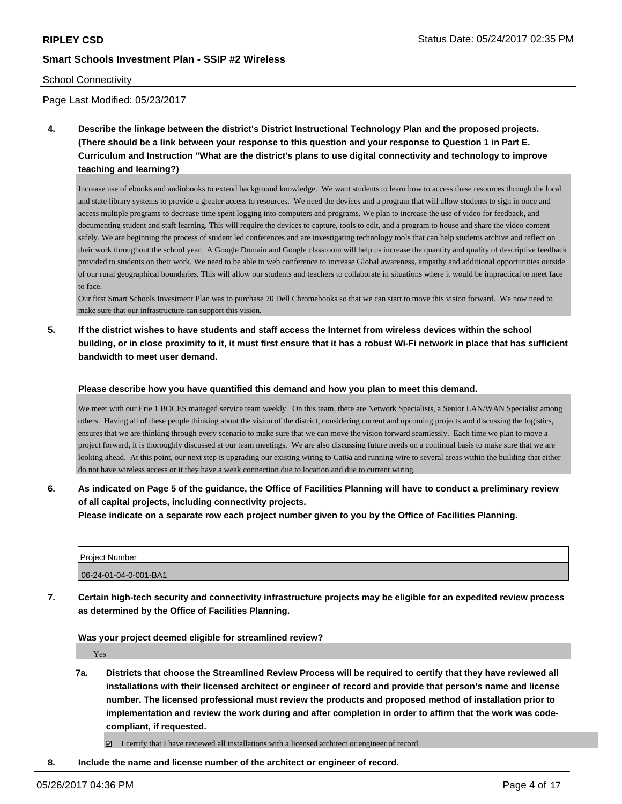### School Connectivity

Page Last Modified: 05/23/2017

**4. Describe the linkage between the district's District Instructional Technology Plan and the proposed projects. (There should be a link between your response to this question and your response to Question 1 in Part E. Curriculum and Instruction "What are the district's plans to use digital connectivity and technology to improve teaching and learning?)**

Increase use of ebooks and audiobooks to extend background knowledge. We want students to learn how to access these resources through the local and state library systems to provide a greater access to resources. We need the devices and a program that will allow students to sign in once and access multiple programs to decrease time spent logging into computers and programs. We plan to increase the use of video for feedback, and documenting student and staff learning. This will require the devices to capture, tools to edit, and a program to house and share the video content safely. We are beginning the process of student led conferences and are investigating technology tools that can help students archive and reflect on their work throughout the school year. A Google Domain and Google classroom will help us increase the quantity and quality of descriptive feedback provided to students on their work. We need to be able to web conference to increase Global awareness, empathy and additional opportunities outside of our rural geographical boundaries. This will allow our students and teachers to collaborate in situations where it would be impractical to meet face to face.

Our first Smart Schools Investment Plan was to purchase 70 Dell Chromebooks so that we can start to move this vision forward. We now need to make sure that our infrastructure can support this vision.

**5. If the district wishes to have students and staff access the Internet from wireless devices within the school building, or in close proximity to it, it must first ensure that it has a robust Wi-Fi network in place that has sufficient bandwidth to meet user demand.**

#### **Please describe how you have quantified this demand and how you plan to meet this demand.**

We meet with our Erie 1 BOCES managed service team weekly. On this team, there are Network Specialists, a Senior LAN/WAN Specialist among others. Having all of these people thinking about the vision of the district, considering current and upcoming projects and discussing the logistics, ensures that we are thinking through every scenario to make sure that we can move the vision forward seamlessly. Each time we plan to move a project forward, it is thoroughly discussed at our team meetings. We are also discussing future needs on a continual basis to make sure that we are looking ahead. At this point, our next step is upgrading our existing wiring to Cat6a and running wire to several areas within the building that either do not have wireless access or it they have a weak connection due to location and due to current wiring.

**6. As indicated on Page 5 of the guidance, the Office of Facilities Planning will have to conduct a preliminary review of all capital projects, including connectivity projects.**

**Please indicate on a separate row each project number given to you by the Office of Facilities Planning.**

| l Proiect Number      |  |
|-----------------------|--|
| 06-24-01-04-0-001-BA1 |  |

**7. Certain high-tech security and connectivity infrastructure projects may be eligible for an expedited review process as determined by the Office of Facilities Planning.**

#### **Was your project deemed eligible for streamlined review?**

Yes

**7a. Districts that choose the Streamlined Review Process will be required to certify that they have reviewed all installations with their licensed architect or engineer of record and provide that person's name and license number. The licensed professional must review the products and proposed method of installation prior to implementation and review the work during and after completion in order to affirm that the work was codecompliant, if requested.**

I certify that I have reviewed all installations with a licensed architect or engineer of record.

**8. Include the name and license number of the architect or engineer of record.**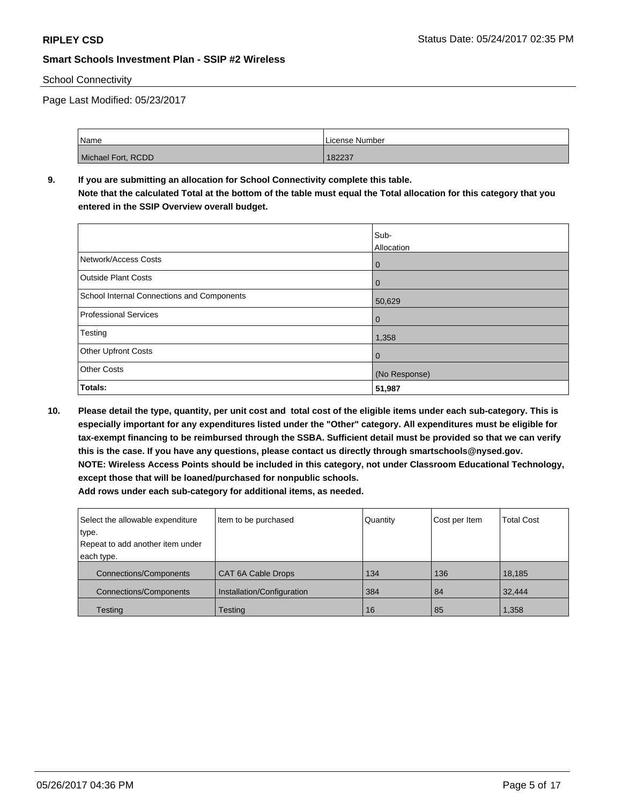# School Connectivity

Page Last Modified: 05/23/2017

| Name               | License Number |
|--------------------|----------------|
| Michael Fort, RCDD | 182237         |

# **9. If you are submitting an allocation for School Connectivity complete this table. Note that the calculated Total at the bottom of the table must equal the Total allocation for this category that you entered in the SSIP Overview overall budget.**

|                                            | Sub-<br>Allocation |
|--------------------------------------------|--------------------|
| Network/Access Costs                       | $\overline{0}$     |
| <b>Outside Plant Costs</b>                 | $\overline{0}$     |
| School Internal Connections and Components | 50,629             |
| <b>Professional Services</b>               | $\overline{0}$     |
| Testing                                    | 1,358              |
| <b>Other Upfront Costs</b>                 | $\mathbf 0$        |
| <b>Other Costs</b>                         | (No Response)      |
| Totals:                                    | 51,987             |

**10. Please detail the type, quantity, per unit cost and total cost of the eligible items under each sub-category. This is especially important for any expenditures listed under the "Other" category. All expenditures must be eligible for tax-exempt financing to be reimbursed through the SSBA. Sufficient detail must be provided so that we can verify this is the case. If you have any questions, please contact us directly through smartschools@nysed.gov. NOTE: Wireless Access Points should be included in this category, not under Classroom Educational Technology, except those that will be loaned/purchased for nonpublic schools. Add rows under each sub-category for additional items, as needed.**

| Select the allowable expenditure | Item to be purchased       | Quantity | Cost per Item | <b>Total Cost</b> |
|----------------------------------|----------------------------|----------|---------------|-------------------|
| type.                            |                            |          |               |                   |
| Repeat to add another item under |                            |          |               |                   |
| each type.                       |                            |          |               |                   |
| <b>Connections/Components</b>    | CAT 6A Cable Drops         | 134      | 136           | 18,185            |
| <b>Connections/Components</b>    | Installation/Configuration | 384      | 84            | 32.444            |
| Testing                          | Testing                    | 16       | 85            | 1,358             |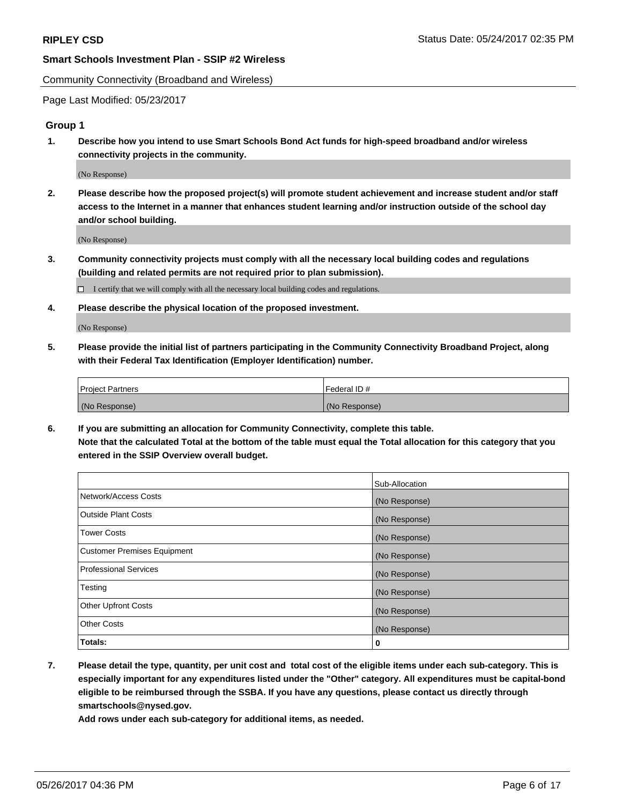Community Connectivity (Broadband and Wireless)

Page Last Modified: 05/23/2017

## **Group 1**

**1. Describe how you intend to use Smart Schools Bond Act funds for high-speed broadband and/or wireless connectivity projects in the community.**

(No Response)

**2. Please describe how the proposed project(s) will promote student achievement and increase student and/or staff access to the Internet in a manner that enhances student learning and/or instruction outside of the school day and/or school building.**

(No Response)

**3. Community connectivity projects must comply with all the necessary local building codes and regulations (building and related permits are not required prior to plan submission).**

 $\Box$  I certify that we will comply with all the necessary local building codes and regulations.

**4. Please describe the physical location of the proposed investment.**

(No Response)

**5. Please provide the initial list of partners participating in the Community Connectivity Broadband Project, along with their Federal Tax Identification (Employer Identification) number.**

| <b>Project Partners</b> | Federal ID#     |
|-------------------------|-----------------|
| (No Response)           | l (No Response) |

**6. If you are submitting an allocation for Community Connectivity, complete this table. Note that the calculated Total at the bottom of the table must equal the Total allocation for this category that you entered in the SSIP Overview overall budget.**

|                                    | Sub-Allocation |
|------------------------------------|----------------|
| Network/Access Costs               | (No Response)  |
| Outside Plant Costs                | (No Response)  |
| <b>Tower Costs</b>                 | (No Response)  |
| <b>Customer Premises Equipment</b> | (No Response)  |
| <b>Professional Services</b>       | (No Response)  |
| Testing                            | (No Response)  |
| <b>Other Upfront Costs</b>         | (No Response)  |
| <b>Other Costs</b>                 | (No Response)  |
| Totals:                            | 0              |

**7. Please detail the type, quantity, per unit cost and total cost of the eligible items under each sub-category. This is especially important for any expenditures listed under the "Other" category. All expenditures must be capital-bond eligible to be reimbursed through the SSBA. If you have any questions, please contact us directly through smartschools@nysed.gov.**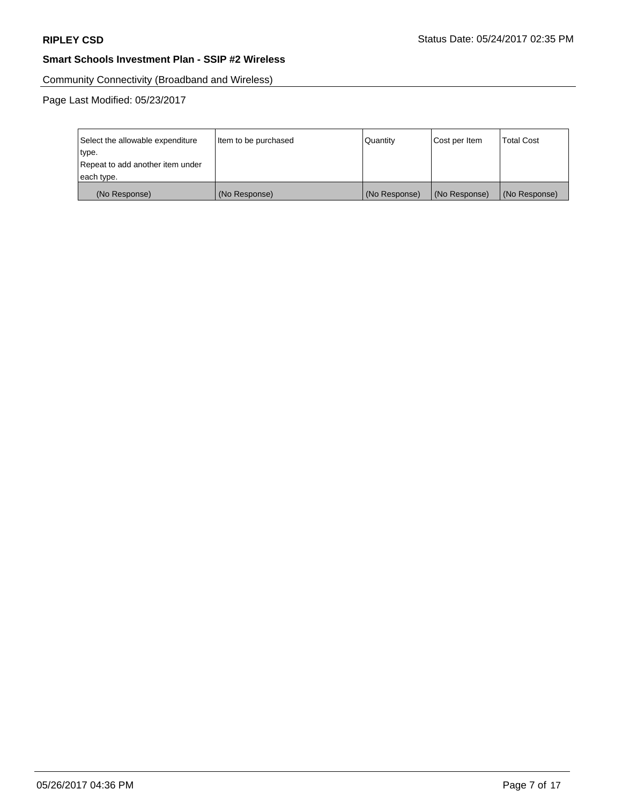Community Connectivity (Broadband and Wireless)

Page Last Modified: 05/23/2017

| Select the allowable expenditure | Item to be purchased | Quantity      | Cost per Item | <b>Total Cost</b> |
|----------------------------------|----------------------|---------------|---------------|-------------------|
| type.                            |                      |               |               |                   |
| Repeat to add another item under |                      |               |               |                   |
| each type.                       |                      |               |               |                   |
| (No Response)                    | (No Response)        | (No Response) | (No Response) | (No Response)     |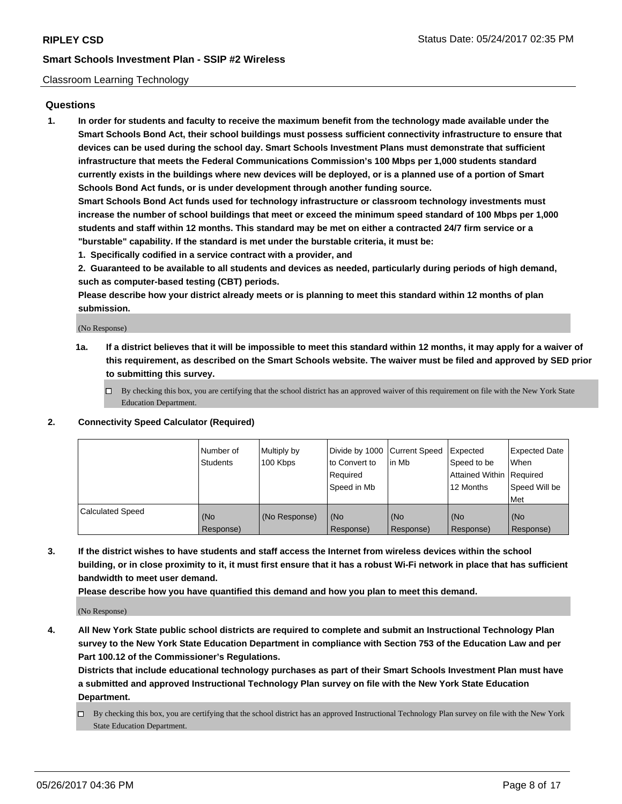#### Classroom Learning Technology

### **Questions**

**1. In order for students and faculty to receive the maximum benefit from the technology made available under the Smart Schools Bond Act, their school buildings must possess sufficient connectivity infrastructure to ensure that devices can be used during the school day. Smart Schools Investment Plans must demonstrate that sufficient infrastructure that meets the Federal Communications Commission's 100 Mbps per 1,000 students standard currently exists in the buildings where new devices will be deployed, or is a planned use of a portion of Smart Schools Bond Act funds, or is under development through another funding source.**

**Smart Schools Bond Act funds used for technology infrastructure or classroom technology investments must increase the number of school buildings that meet or exceed the minimum speed standard of 100 Mbps per 1,000 students and staff within 12 months. This standard may be met on either a contracted 24/7 firm service or a "burstable" capability. If the standard is met under the burstable criteria, it must be:**

**1. Specifically codified in a service contract with a provider, and**

**2. Guaranteed to be available to all students and devices as needed, particularly during periods of high demand, such as computer-based testing (CBT) periods.**

**Please describe how your district already meets or is planning to meet this standard within 12 months of plan submission.**

(No Response)

- **1a. If a district believes that it will be impossible to meet this standard within 12 months, it may apply for a waiver of this requirement, as described on the Smart Schools website. The waiver must be filed and approved by SED prior to submitting this survey.**
	- $\Box$  By checking this box, you are certifying that the school district has an approved waiver of this requirement on file with the New York State Education Department.

#### **2. Connectivity Speed Calculator (Required)**

|                         | Number of<br><b>Students</b> | Multiply by<br>100 Kbps | Divide by 1000 Current Speed<br>to Convert to<br>Required<br>Speed in Mb | l in Mb          | Expected<br>Speed to be<br>Attained Within   Required<br>12 Months | <b>Expected Date</b><br><b>When</b><br>Speed Will be<br>Met |
|-------------------------|------------------------------|-------------------------|--------------------------------------------------------------------------|------------------|--------------------------------------------------------------------|-------------------------------------------------------------|
| <b>Calculated Speed</b> | (No<br>Response)             | (No Response)           | (No<br>Response)                                                         | (No<br>Response) | (No<br>Response)                                                   | (No<br>Response)                                            |

**3. If the district wishes to have students and staff access the Internet from wireless devices within the school building, or in close proximity to it, it must first ensure that it has a robust Wi-Fi network in place that has sufficient bandwidth to meet user demand.**

**Please describe how you have quantified this demand and how you plan to meet this demand.**

(No Response)

**4. All New York State public school districts are required to complete and submit an Instructional Technology Plan survey to the New York State Education Department in compliance with Section 753 of the Education Law and per Part 100.12 of the Commissioner's Regulations.**

**Districts that include educational technology purchases as part of their Smart Schools Investment Plan must have a submitted and approved Instructional Technology Plan survey on file with the New York State Education Department.**

By checking this box, you are certifying that the school district has an approved Instructional Technology Plan survey on file with the New York State Education Department.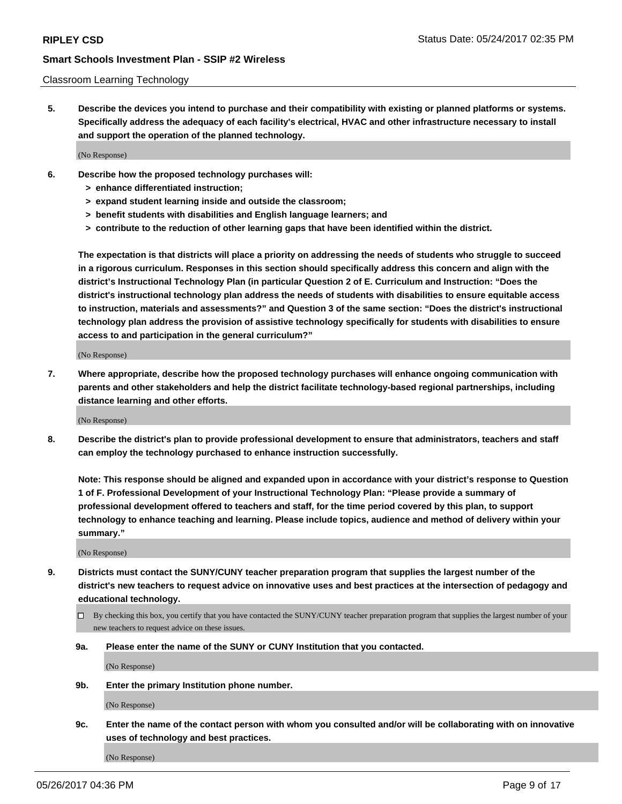#### Classroom Learning Technology

**5. Describe the devices you intend to purchase and their compatibility with existing or planned platforms or systems. Specifically address the adequacy of each facility's electrical, HVAC and other infrastructure necessary to install and support the operation of the planned technology.**

(No Response)

- **6. Describe how the proposed technology purchases will:**
	- **> enhance differentiated instruction;**
	- **> expand student learning inside and outside the classroom;**
	- **> benefit students with disabilities and English language learners; and**
	- **> contribute to the reduction of other learning gaps that have been identified within the district.**

**The expectation is that districts will place a priority on addressing the needs of students who struggle to succeed in a rigorous curriculum. Responses in this section should specifically address this concern and align with the district's Instructional Technology Plan (in particular Question 2 of E. Curriculum and Instruction: "Does the district's instructional technology plan address the needs of students with disabilities to ensure equitable access to instruction, materials and assessments?" and Question 3 of the same section: "Does the district's instructional technology plan address the provision of assistive technology specifically for students with disabilities to ensure access to and participation in the general curriculum?"**

(No Response)

**7. Where appropriate, describe how the proposed technology purchases will enhance ongoing communication with parents and other stakeholders and help the district facilitate technology-based regional partnerships, including distance learning and other efforts.**

(No Response)

**8. Describe the district's plan to provide professional development to ensure that administrators, teachers and staff can employ the technology purchased to enhance instruction successfully.**

**Note: This response should be aligned and expanded upon in accordance with your district's response to Question 1 of F. Professional Development of your Instructional Technology Plan: "Please provide a summary of professional development offered to teachers and staff, for the time period covered by this plan, to support technology to enhance teaching and learning. Please include topics, audience and method of delivery within your summary."**

(No Response)

- **9. Districts must contact the SUNY/CUNY teacher preparation program that supplies the largest number of the district's new teachers to request advice on innovative uses and best practices at the intersection of pedagogy and educational technology.**
	- By checking this box, you certify that you have contacted the SUNY/CUNY teacher preparation program that supplies the largest number of your new teachers to request advice on these issues.
	- **9a. Please enter the name of the SUNY or CUNY Institution that you contacted.**

(No Response)

**9b. Enter the primary Institution phone number.**

(No Response)

**9c. Enter the name of the contact person with whom you consulted and/or will be collaborating with on innovative uses of technology and best practices.**

(No Response)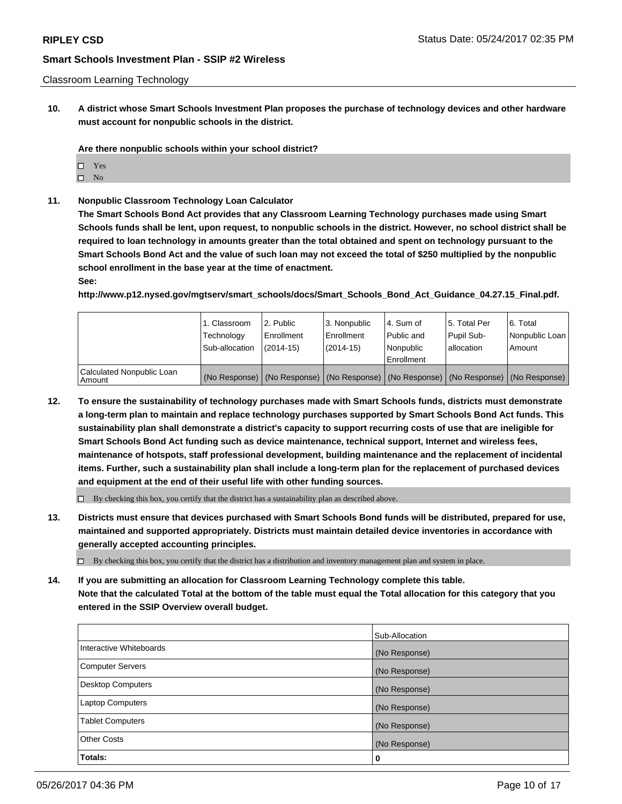**10. A district whose Smart Schools Investment Plan proposes the purchase of technology devices and other hardware must account for nonpublic schools in the district.**

**Are there nonpublic schools within your school district?**

- □ Yes
- $\square$  No
- **11. Nonpublic Classroom Technology Loan Calculator**

**The Smart Schools Bond Act provides that any Classroom Learning Technology purchases made using Smart Schools funds shall be lent, upon request, to nonpublic schools in the district. However, no school district shall be required to loan technology in amounts greater than the total obtained and spent on technology pursuant to the Smart Schools Bond Act and the value of such loan may not exceed the total of \$250 multiplied by the nonpublic school enrollment in the base year at the time of enactment.**

#### **See:**

**http://www.p12.nysed.gov/mgtserv/smart\_schools/docs/Smart\_Schools\_Bond\_Act\_Guidance\_04.27.15\_Final.pdf.**

|                                     | 1. Classroom<br>Technology<br>Sub-allocation | 2. Public<br>Enrollment<br>(2014-15) | 3. Nonpublic<br>Enrollment<br>(2014-15) | l 4. Sum of<br>Public and<br>l Nonpublic<br>Enrollment                                        | 15. Total Per<br>Pupil Sub-<br>l allocation | l 6. Total<br>Nonpublic Loan<br>l Amount |
|-------------------------------------|----------------------------------------------|--------------------------------------|-----------------------------------------|-----------------------------------------------------------------------------------------------|---------------------------------------------|------------------------------------------|
| Calculated Nonpublic Loan<br>Amount |                                              |                                      |                                         | (No Response)   (No Response)   (No Response)   (No Response)   (No Response)   (No Response) |                                             |                                          |

**12. To ensure the sustainability of technology purchases made with Smart Schools funds, districts must demonstrate a long-term plan to maintain and replace technology purchases supported by Smart Schools Bond Act funds. This sustainability plan shall demonstrate a district's capacity to support recurring costs of use that are ineligible for Smart Schools Bond Act funding such as device maintenance, technical support, Internet and wireless fees, maintenance of hotspots, staff professional development, building maintenance and the replacement of incidental items. Further, such a sustainability plan shall include a long-term plan for the replacement of purchased devices and equipment at the end of their useful life with other funding sources.**

 $\Box$  By checking this box, you certify that the district has a sustainability plan as described above.

**13. Districts must ensure that devices purchased with Smart Schools Bond funds will be distributed, prepared for use, maintained and supported appropriately. Districts must maintain detailed device inventories in accordance with generally accepted accounting principles.**

By checking this box, you certify that the district has a distribution and inventory management plan and system in place.

**14. If you are submitting an allocation for Classroom Learning Technology complete this table. Note that the calculated Total at the bottom of the table must equal the Total allocation for this category that you entered in the SSIP Overview overall budget.**

|                          | Sub-Allocation |
|--------------------------|----------------|
| Interactive Whiteboards  | (No Response)  |
| <b>Computer Servers</b>  | (No Response)  |
| <b>Desktop Computers</b> | (No Response)  |
| Laptop Computers         | (No Response)  |
| <b>Tablet Computers</b>  | (No Response)  |
| <b>Other Costs</b>       | (No Response)  |
| Totals:                  | 0              |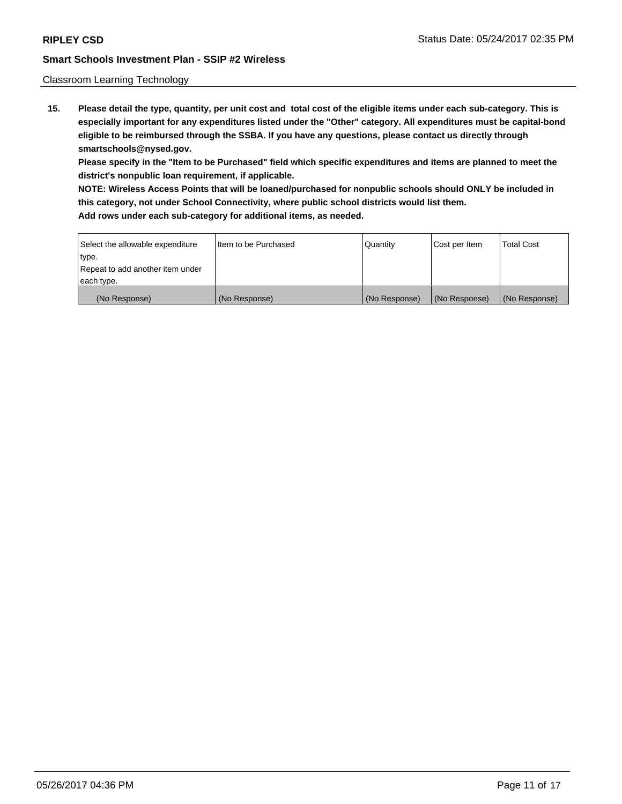#### Classroom Learning Technology

**15. Please detail the type, quantity, per unit cost and total cost of the eligible items under each sub-category. This is especially important for any expenditures listed under the "Other" category. All expenditures must be capital-bond eligible to be reimbursed through the SSBA. If you have any questions, please contact us directly through smartschools@nysed.gov.**

**Please specify in the "Item to be Purchased" field which specific expenditures and items are planned to meet the district's nonpublic loan requirement, if applicable.**

**NOTE: Wireless Access Points that will be loaned/purchased for nonpublic schools should ONLY be included in this category, not under School Connectivity, where public school districts would list them.**

| Select the allowable expenditure | I Item to be Purchased | Quantity      | Cost per Item | <b>Total Cost</b> |
|----------------------------------|------------------------|---------------|---------------|-------------------|
| type.                            |                        |               |               |                   |
| Repeat to add another item under |                        |               |               |                   |
| each type.                       |                        |               |               |                   |
| (No Response)                    | (No Response)          | (No Response) | (No Response) | (No Response)     |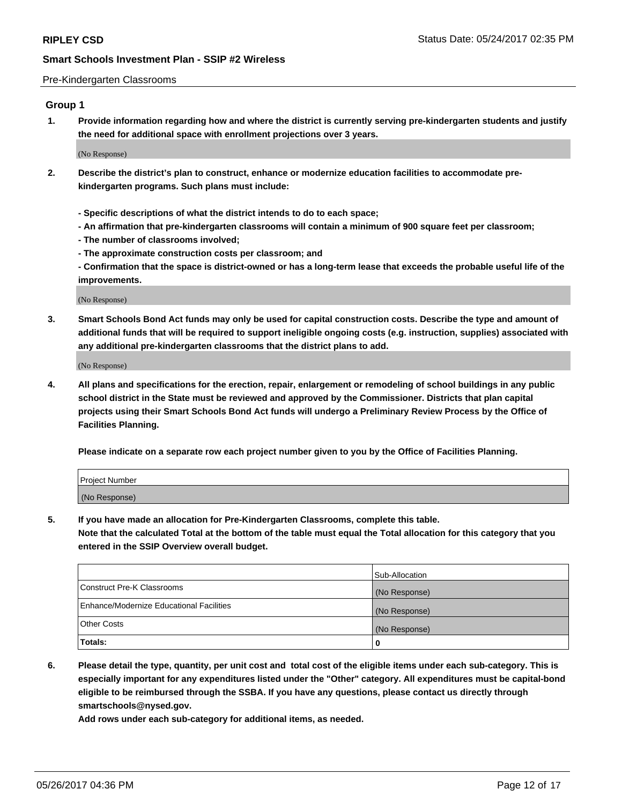#### Pre-Kindergarten Classrooms

# **Group 1**

**1. Provide information regarding how and where the district is currently serving pre-kindergarten students and justify the need for additional space with enrollment projections over 3 years.**

(No Response)

- **2. Describe the district's plan to construct, enhance or modernize education facilities to accommodate prekindergarten programs. Such plans must include:**
	- **Specific descriptions of what the district intends to do to each space;**
	- **An affirmation that pre-kindergarten classrooms will contain a minimum of 900 square feet per classroom;**
	- **The number of classrooms involved;**
	- **The approximate construction costs per classroom; and**

**- Confirmation that the space is district-owned or has a long-term lease that exceeds the probable useful life of the improvements.**

(No Response)

**3. Smart Schools Bond Act funds may only be used for capital construction costs. Describe the type and amount of additional funds that will be required to support ineligible ongoing costs (e.g. instruction, supplies) associated with any additional pre-kindergarten classrooms that the district plans to add.**

(No Response)

**4. All plans and specifications for the erection, repair, enlargement or remodeling of school buildings in any public school district in the State must be reviewed and approved by the Commissioner. Districts that plan capital projects using their Smart Schools Bond Act funds will undergo a Preliminary Review Process by the Office of Facilities Planning.**

**Please indicate on a separate row each project number given to you by the Office of Facilities Planning.**

| Project Number |  |
|----------------|--|
| (No Response)  |  |

**5. If you have made an allocation for Pre-Kindergarten Classrooms, complete this table.**

**Note that the calculated Total at the bottom of the table must equal the Total allocation for this category that you entered in the SSIP Overview overall budget.**

|                                          | Sub-Allocation |
|------------------------------------------|----------------|
| Construct Pre-K Classrooms               | (No Response)  |
| Enhance/Modernize Educational Facilities | (No Response)  |
| Other Costs                              | (No Response)  |
| Totals:                                  | 0              |

**6. Please detail the type, quantity, per unit cost and total cost of the eligible items under each sub-category. This is especially important for any expenditures listed under the "Other" category. All expenditures must be capital-bond eligible to be reimbursed through the SSBA. If you have any questions, please contact us directly through smartschools@nysed.gov.**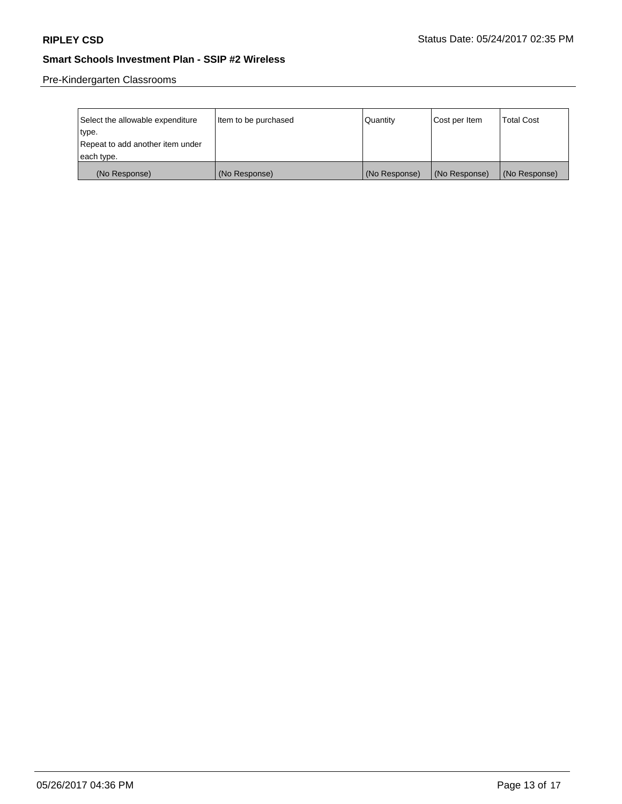Pre-Kindergarten Classrooms

| Select the allowable expenditure | Item to be purchased | Quantity      | Cost per Item | <b>Total Cost</b> |
|----------------------------------|----------------------|---------------|---------------|-------------------|
| type.                            |                      |               |               |                   |
| Repeat to add another item under |                      |               |               |                   |
| each type.                       |                      |               |               |                   |
| (No Response)                    | (No Response)        | (No Response) | (No Response) | (No Response)     |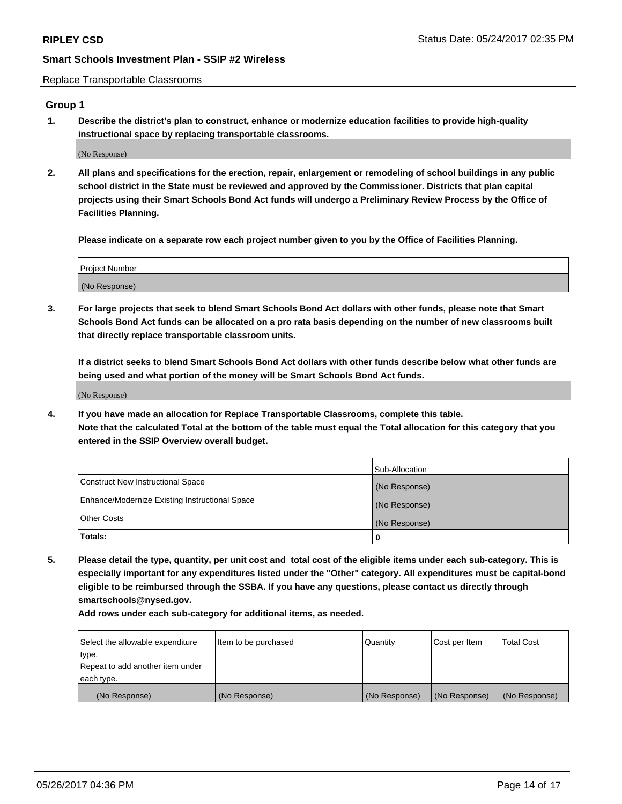Replace Transportable Classrooms

# **Group 1**

**1. Describe the district's plan to construct, enhance or modernize education facilities to provide high-quality instructional space by replacing transportable classrooms.**

(No Response)

**2. All plans and specifications for the erection, repair, enlargement or remodeling of school buildings in any public school district in the State must be reviewed and approved by the Commissioner. Districts that plan capital projects using their Smart Schools Bond Act funds will undergo a Preliminary Review Process by the Office of Facilities Planning.**

**Please indicate on a separate row each project number given to you by the Office of Facilities Planning.**

| Project Number |  |
|----------------|--|
|                |  |
| (No Response)  |  |

**3. For large projects that seek to blend Smart Schools Bond Act dollars with other funds, please note that Smart Schools Bond Act funds can be allocated on a pro rata basis depending on the number of new classrooms built that directly replace transportable classroom units.**

**If a district seeks to blend Smart Schools Bond Act dollars with other funds describe below what other funds are being used and what portion of the money will be Smart Schools Bond Act funds.**

(No Response)

**4. If you have made an allocation for Replace Transportable Classrooms, complete this table. Note that the calculated Total at the bottom of the table must equal the Total allocation for this category that you entered in the SSIP Overview overall budget.**

|                                                | Sub-Allocation |
|------------------------------------------------|----------------|
| Construct New Instructional Space              | (No Response)  |
| Enhance/Modernize Existing Instructional Space | (No Response)  |
| Other Costs                                    | (No Response)  |
| Totals:                                        | 0              |

**5. Please detail the type, quantity, per unit cost and total cost of the eligible items under each sub-category. This is especially important for any expenditures listed under the "Other" category. All expenditures must be capital-bond eligible to be reimbursed through the SSBA. If you have any questions, please contact us directly through smartschools@nysed.gov.**

| Select the allowable expenditure | Item to be purchased | Quantity      | Cost per Item | <b>Total Cost</b> |
|----------------------------------|----------------------|---------------|---------------|-------------------|
| type.                            |                      |               |               |                   |
| Repeat to add another item under |                      |               |               |                   |
| each type.                       |                      |               |               |                   |
| (No Response)                    | (No Response)        | (No Response) | (No Response) | (No Response)     |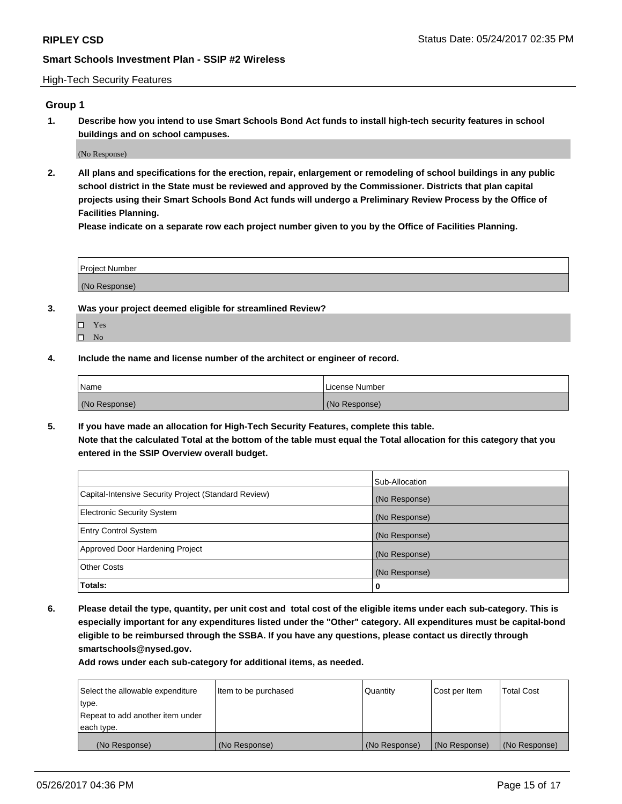#### High-Tech Security Features

# **Group 1**

**1. Describe how you intend to use Smart Schools Bond Act funds to install high-tech security features in school buildings and on school campuses.**

(No Response)

**2. All plans and specifications for the erection, repair, enlargement or remodeling of school buildings in any public school district in the State must be reviewed and approved by the Commissioner. Districts that plan capital projects using their Smart Schools Bond Act funds will undergo a Preliminary Review Process by the Office of Facilities Planning.** 

**Please indicate on a separate row each project number given to you by the Office of Facilities Planning.**

| <b>Project Number</b>           |  |
|---------------------------------|--|
| (No Response<br>∣ (No Response) |  |

- **3. Was your project deemed eligible for streamlined Review?**
	- Yes  $\square$  No
- **4. Include the name and license number of the architect or engineer of record.**

| <b>Name</b>   | License Number |
|---------------|----------------|
| (No Response) | (No Response)  |

**5. If you have made an allocation for High-Tech Security Features, complete this table. Note that the calculated Total at the bottom of the table must equal the Total allocation for this category that you entered in the SSIP Overview overall budget.**

|                                                      | Sub-Allocation |
|------------------------------------------------------|----------------|
| Capital-Intensive Security Project (Standard Review) | (No Response)  |
| <b>Electronic Security System</b>                    | (No Response)  |
| <b>Entry Control System</b>                          | (No Response)  |
| Approved Door Hardening Project                      | (No Response)  |
| <b>Other Costs</b>                                   | (No Response)  |
| Totals:                                              | 0              |

**6. Please detail the type, quantity, per unit cost and total cost of the eligible items under each sub-category. This is especially important for any expenditures listed under the "Other" category. All expenditures must be capital-bond eligible to be reimbursed through the SSBA. If you have any questions, please contact us directly through smartschools@nysed.gov.**

| Select the allowable expenditure | Item to be purchased | Quantity      | Cost per Item | <b>Total Cost</b> |
|----------------------------------|----------------------|---------------|---------------|-------------------|
| type.                            |                      |               |               |                   |
| Repeat to add another item under |                      |               |               |                   |
| each type.                       |                      |               |               |                   |
| (No Response)                    | (No Response)        | (No Response) | (No Response) | (No Response)     |